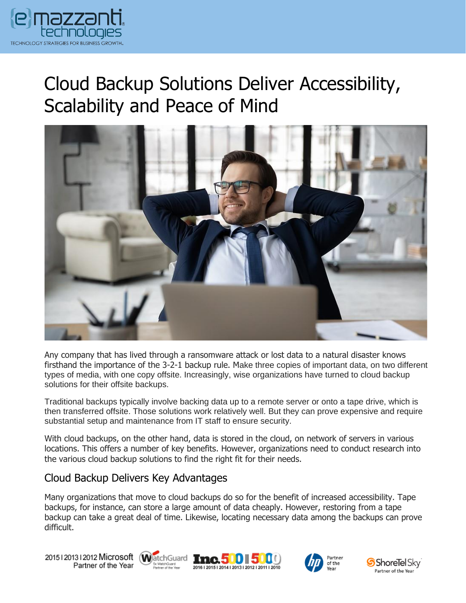

## Cloud Backup Solutions Deliver Accessibility, Scalability and Peace of Mind



Any company that has lived through a ransomware attack or lost data to a natural disaster knows firsthand the importance of the 3-2-1 backup rule. Make three copies of important data, on two different types of media, with one copy offsite. Increasingly, wise organizations have turned to cloud backup solutions for their offsite backups.

Traditional backups typically involve backing data up to a remote server or onto a tape drive, which is then transferred offsite. Those solutions work relatively well. But they can prove expensive and require substantial setup and maintenance from IT staff to ensure security.

With cloud backups, on the other hand, data is stored in the cloud, on network of servers in various locations. This offers a number of key benefits. However, organizations need to conduct research into the various cloud backup solutions to find the right fit for their needs.

## Cloud Backup Delivers Key Advantages

Many organizations that move to cloud backups do so for the benefit of increased accessibility. Tape backups, for instance, can store a large amount of data cheaply. However, restoring from a tape backup can take a great deal of time. Likewise, locating necessary data among the backups can prove difficult.

20151201312012 Microsoft WatchGuard Tnc. 500 500 Partner of the Year







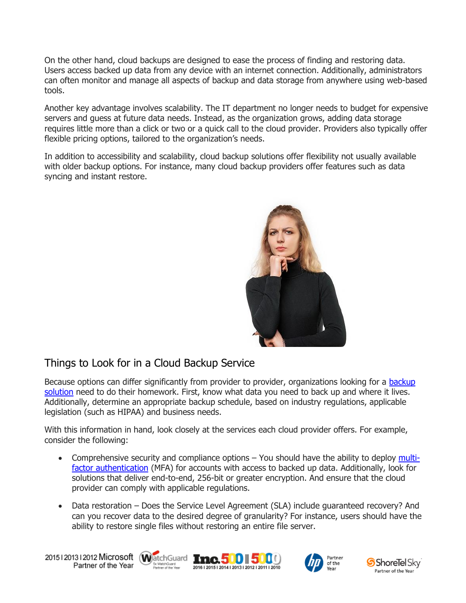On the other hand, cloud backups are designed to ease the process of finding and restoring data. Users access backed up data from any device with an internet connection. Additionally, administrators can often monitor and manage all aspects of backup and data storage from anywhere using web-based tools.

Another key advantage involves scalability. The IT department no longer needs to budget for expensive servers and guess at future data needs. Instead, as the organization grows, adding data storage requires little more than a click or two or a quick call to the cloud provider. Providers also typically offer flexible pricing options, tailored to the organization's needs.

In addition to accessibility and scalability, cloud backup solutions offer flexibility not usually available with older backup options. For instance, many cloud backup providers offer features such as data syncing and instant restore.



## Things to Look for in a Cloud Backup Service

Because options can differ significantly from provider to provider, organizations looking for a backup [solution](https://messagingarchitects.com/data-backup-best-practices/) need to do their homework. First, know what data you need to back up and where it lives. Additionally, determine an appropriate backup schedule, based on industry regulations, applicable legislation (such as HIPAA) and business needs.

With this information in hand, look closely at the services each cloud provider offers. For example, consider the following:

- Comprehensive security and compliance options You should have the ability to deploy [multi](https://www.emazzanti.net/passwords-and-multi-factor-authentication/)[factor authentication](https://www.emazzanti.net/passwords-and-multi-factor-authentication/) (MFA) for accounts with access to backed up data. Additionally, look for solutions that deliver end-to-end, 256-bit or greater encryption. And ensure that the cloud provider can comply with applicable regulations.
- Data restoration Does the Service Level Agreement (SLA) include guaranteed recovery? And can you recover data to the desired degree of granularity? For instance, users should have the ability to restore single files without restoring an entire file server.

20151201312012 Microsoft WatchGuard Tnc. 500 500 Partner of the Year